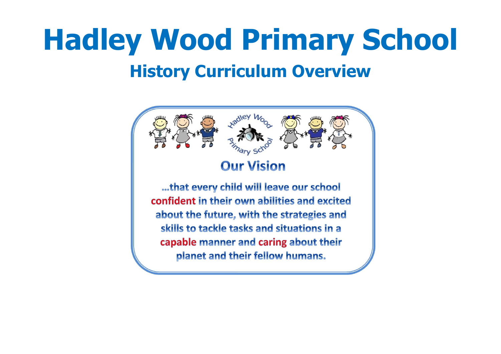# **Hadley Wood Primary School History Curriculum Overview**

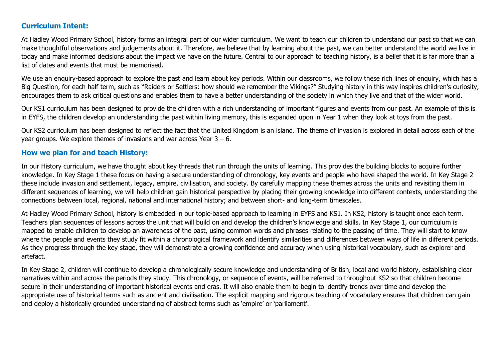#### **Curriculum Intent:**

At Hadley Wood Primary School, history forms an integral part of our wider curriculum. We want to teach our children to understand our past so that we can make thoughtful observations and judgements about it. Therefore, we believe that by learning about the past, we can better understand the world we live in today and make informed decisions about the impact we have on the future. Central to our approach to teaching history, is a belief that it is far more than a list of dates and events that must be memorised.

We use an enquiry-based approach to explore the past and learn about key periods. Within our classrooms, we follow these rich lines of enquiry, which has a Big Question, for each half term, such as "Raiders or Settlers: how should we remember the Vikings?" Studying history in this way inspires children's curiosity, encourages them to ask critical questions and enables them to have a better understanding of the society in which they live and that of the wider world.

Our KS1 curriculum has been designed to provide the children with a rich understanding of important figures and events from our past. An example of this is in EYFS, the children develop an understanding the past within living memory, this is expanded upon in Year 1 when they look at toys from the past.

Our KS2 curriculum has been designed to reflect the fact that the United Kingdom is an island. The theme of invasion is explored in detail across each of the year groups. We explore themes of invasions and war across Year  $3 - 6$ .

#### **How we plan for and teach History:**

In our History curriculum, we have thought about key threads that run through the units of learning. This provides the building blocks to acquire further knowledge. In Key Stage 1 these focus on having a secure understanding of chronology, key events and people who have shaped the world. In Key Stage 2 these include invasion and settlement, legacy, empire, civilisation, and society. By carefully mapping these themes across the units and revisiting them in different sequences of learning, we will help children gain historical perspective by placing their growing knowledge into different contexts, understanding the connections between local, regional, national and international history; and between short- and long-term timescales.

At Hadley Wood Primary School, history is embedded in our topic-based approach to learning in EYFS and KS1. In KS2, history is taught once each term. Teachers plan sequences of lessons across the unit that will build on and develop the children's knowledge and skills. In Key Stage 1, our curriculum is mapped to enable children to develop an awareness of the past, using common words and phrases relating to the passing of time. They will start to know where the people and events they study fit within a chronological framework and identify similarities and differences between ways of life in different periods. As they progress through the key stage, they will demonstrate a growing confidence and accuracy when using historical vocabulary, such as explorer and artefact.

In Key Stage 2, children will continue to develop a chronologically secure knowledge and understanding of British, local and world history, establishing clear narratives within and across the periods they study. This chronology, or sequence of events, will be referred to throughout KS2 so that children become secure in their understanding of important historical events and eras. It will also enable them to begin to identify trends over time and develop the appropriate use of historical terms such as ancient and civilisation. The explicit mapping and rigorous teaching of vocabulary ensures that children can gain and deploy a historically grounded understanding of abstract terms such as 'empire' or 'parliament'.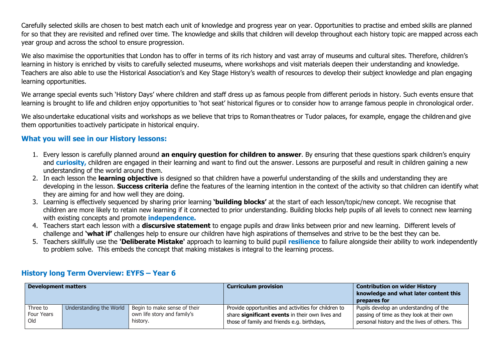Carefully selected skills are chosen to best match each unit of knowledge and progress year on year. Opportunities to practise and embed skills are planned for so that they are revisited and refined over time. The knowledge and skills that children will develop throughout each history topic are mapped across each year group and across the school to ensure progression.

We also maximise the opportunities that London has to offer in terms of its rich history and vast array of museums and cultural sites. Therefore, children's learning in history is enriched by visits to carefully selected museums, where workshops and visit materials deepen their understanding and knowledge. Teachers are also able to use the Historical Association's and Key Stage History's wealth of resources to develop their subject knowledge and plan engaging learning opportunities.

We arrange special events such 'History Days' where children and staff dress up as famous people from different periods in history. Such events ensure that learning is brought to life and children enjoy opportunities to 'hot seat' historical figures or to consider how to arrange famous people in chronological order.

We also undertake educational visits and workshops as we believe that trips to Roman theatres or Tudor palaces, for example, engage the children and give them opportunities to actively participate in historical enquiry.

#### **What you will see in our History lessons:**

- 1. Every lesson is carefully planned around **an enquiry question for children to answer**. By ensuring that these questions spark children's enquiry and **curiosity,** children are engaged in their learning and want to find out the answer. Lessons are purposeful and result in children gaining a new understanding of the world around them.
- 2. In each lesson the **learning objective** is designed so that children have a powerful understanding of the skills and understanding they are developing in the lesson. **Success criteria** define the features of the learning intention in the context of the activity so that children can identify what they are aiming for and how well they are doing.
- 3. Learning is effectively sequenced by sharing prior learning **'building blocks'** at the start of each lesson/topic/new concept. We recognise that children are more likely to retain new learning if it connected to prior understanding. Building blocks help pupils of all levels to connect new learning with existing concepts and promote **independence.**
- 4. Teachers start each lesson with a **discursive statement** to engage pupils and draw links between prior and new learning. Different levels of challenge and **'what if'** challenges help to ensure our children have high aspirations of themselves and strive to be the best they can be.
- 5. Teachers skillfully use the **'Deliberate Mistake'** approach to learning to build pupil **resilience** to failure alongside their ability to work independently to problem solve. This embeds the concept that making mistakes is integral to the learning process.

| <b>Development matters</b> |                         |                              | <b>Curriculum provision</b>                          | <b>Contribution on wider History</b><br>knowledge and what later content this<br>prepares for |
|----------------------------|-------------------------|------------------------------|------------------------------------------------------|-----------------------------------------------------------------------------------------------|
| Three to                   | Understanding the World | Begin to make sense of their | Provide opportunities and activities for children to | Pupils develop an understanding of the                                                        |
| Four Years                 |                         | own life story and family's  | share significant events in their own lives and      | passing of time as they look at their own                                                     |
| Old                        |                         | history.                     | those of family and friends e.g. birthdays,          | personal history and the lives of others. This                                                |

### **History long Term Overview: EYFS – Year 6**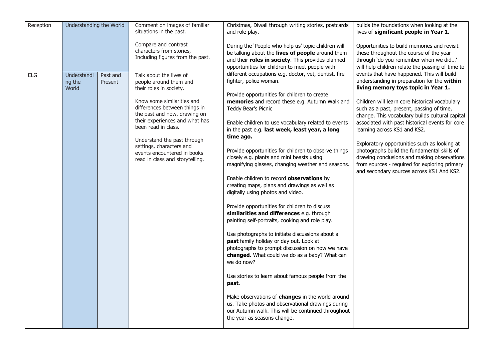| Reception  | Understanding the World        |                     | Comment on images of familiar<br>situations in the past.                                                                                                                                                                                                                                                                                                          | Christmas, Diwali through writing stories, postcards<br>and role play.                                                                                                                                                                                                                                                                                                                                                                                                                                                                                                                                                                                                                                                                                                                                                                                                                                                                                                                                                                                                                                                                                                                                                                                  | builds the foundations when looking at the<br>lives of significant people in Year 1.                                                                                                                                                                                                                                                                                                                                                                                                                                                                                                                              |
|------------|--------------------------------|---------------------|-------------------------------------------------------------------------------------------------------------------------------------------------------------------------------------------------------------------------------------------------------------------------------------------------------------------------------------------------------------------|---------------------------------------------------------------------------------------------------------------------------------------------------------------------------------------------------------------------------------------------------------------------------------------------------------------------------------------------------------------------------------------------------------------------------------------------------------------------------------------------------------------------------------------------------------------------------------------------------------------------------------------------------------------------------------------------------------------------------------------------------------------------------------------------------------------------------------------------------------------------------------------------------------------------------------------------------------------------------------------------------------------------------------------------------------------------------------------------------------------------------------------------------------------------------------------------------------------------------------------------------------|-------------------------------------------------------------------------------------------------------------------------------------------------------------------------------------------------------------------------------------------------------------------------------------------------------------------------------------------------------------------------------------------------------------------------------------------------------------------------------------------------------------------------------------------------------------------------------------------------------------------|
|            |                                |                     | Compare and contrast<br>characters from stories,<br>Including figures from the past.                                                                                                                                                                                                                                                                              | During the 'People who help us' topic children will<br>be talking about the lives of people around them<br>and their roles in society. This provides planned<br>opportunities for children to meet people with                                                                                                                                                                                                                                                                                                                                                                                                                                                                                                                                                                                                                                                                                                                                                                                                                                                                                                                                                                                                                                          | Opportunities to build memories and revisit<br>these throughout the course of the year<br>through 'do you remember when we did'<br>will help children relate the passing of time to                                                                                                                                                                                                                                                                                                                                                                                                                               |
| <b>ELG</b> | Understandi<br>ng the<br>World | Past and<br>Present | Talk about the lives of<br>people around them and<br>their roles in society.<br>Know some similarities and<br>differences between things in<br>the past and now, drawing on<br>their experiences and what has<br>been read in class.<br>Understand the past through<br>settings, characters and<br>events encountered in books<br>read in class and storytelling. | different occupations e.g. doctor, vet, dentist, fire<br>fighter, police woman.<br>Provide opportunities for children to create<br>memories and record these e.g. Autumn Walk and<br>Teddy Bear's Picnic<br>Enable children to use vocabulary related to events<br>in the past e.g. last week, least year, a long<br>time ago.<br>Provide opportunities for children to observe things<br>closely e.g. plants and mini beasts using<br>magnifying glasses, changing weather and seasons.<br>Enable children to record observations by<br>creating maps, plans and drawings as well as<br>digitally using photos and video.<br>Provide opportunities for children to discuss<br>similarities and differences e.g. through<br>painting self-portraits, cooking and role play.<br>Use photographs to initiate discussions about a<br>past family holiday or day out. Look at<br>photographs to prompt discussion on how we have<br>changed. What could we do as a baby? What can<br>we do now?<br>Use stories to learn about famous people from the<br>past.<br>Make observations of changes in the world around<br>us. Take photos and observational drawings during<br>our Autumn walk. This will be continued throughout<br>the year as seasons change. | events that have happened. This will build<br>understanding in preparation for the within<br>living memory toys topic in Year 1.<br>Children will learn core historical vocabulary<br>such as a past, present, passing of time,<br>change. This vocabulary builds cultural capital<br>associated with past historical events for core<br>learning across KS1 and KS2.<br>Exploratory opportunities such as looking at<br>photographs build the fundamental skills of<br>drawing conclusions and making observations<br>from sources - required for exploring primary<br>and secondary sources across KS1 And KS2. |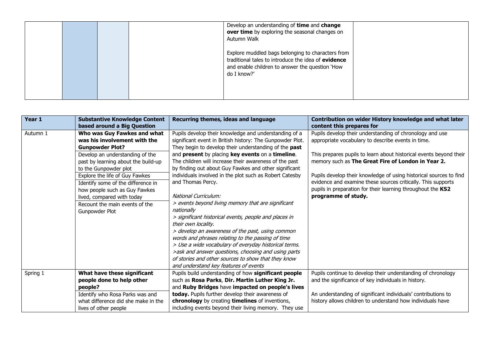|  | Develop an understanding of time and change<br>over time by exploring the seasonal changes on<br>Autumn Walk                                                               |  |
|--|----------------------------------------------------------------------------------------------------------------------------------------------------------------------------|--|
|  | Explore muddled bags belonging to characters from<br>traditional tales to introduce the idea of evidence<br>and enable children to answer the question 'How<br>do I know?' |  |

| Year 1   | <b>Substantive Knowledge Content</b><br>based around a Big Question                                                                                                                                                                                                                                                                                                                 | Recurring themes, ideas and language                                                                                                                                                                                                                                                                                                                                                                                                                                                                                                                                                                                                                                                                                                                                                                                                                                                           | Contribution on wider History knowledge and what later<br>content this prepares for                                                                                                                                                                                                                                                                                                                                                                                    |
|----------|-------------------------------------------------------------------------------------------------------------------------------------------------------------------------------------------------------------------------------------------------------------------------------------------------------------------------------------------------------------------------------------|------------------------------------------------------------------------------------------------------------------------------------------------------------------------------------------------------------------------------------------------------------------------------------------------------------------------------------------------------------------------------------------------------------------------------------------------------------------------------------------------------------------------------------------------------------------------------------------------------------------------------------------------------------------------------------------------------------------------------------------------------------------------------------------------------------------------------------------------------------------------------------------------|------------------------------------------------------------------------------------------------------------------------------------------------------------------------------------------------------------------------------------------------------------------------------------------------------------------------------------------------------------------------------------------------------------------------------------------------------------------------|
| Autumn 1 | Who was Guy Fawkes and what<br>was his involvement with the<br><b>Gunpowder Plot?</b><br>Develop an understanding of the<br>past by learning about the build-up<br>to the Gunpowder plot<br>Explore the life of Guy Fawkes<br>Identify some of the difference in<br>how people such as Guy Fawkes<br>lived, compared with today<br>Recount the main events of the<br>Gunpowder Plot | Pupils develop their knowledge and understanding of a<br>significant event in British history: The Gunpowder Plot.<br>They begin to develop their understanding of the past<br>and present by placing key events on a timeline.<br>The children will increase their awareness of the past<br>by finding out about Guy Fawkes and other significant<br>individuals involved in the plot such as Robert Catesby<br>and Thomas Percy.<br>National Curriculum:<br>> events beyond living memory that are significant<br>nationally<br>> significant historical events, people and places in<br>their own locality.<br>> develop an awareness of the past, using common<br>words and phrases relating to the passing of time<br>> Use a wide vocabulary of everyday historical terms.<br>>ask and answer questions, choosing and using parts<br>of stories and other sources to show that they know | Pupils develop their understanding of chronology and use<br>appropriate vocabulary to describe events in time.<br>This prepares pupils to learn about historical events beyond their<br>memory such as The Great Fire of London in Year 2.<br>Pupils develop their knowledge of using historical sources to find<br>evidence and examine these sources critically. This supports<br>pupils in preparation for their learning throughout the KS2<br>programme of study. |
| Spring 1 | What have these significant<br>people done to help other<br>people?<br>Identify who Rosa Parks was and                                                                                                                                                                                                                                                                              | and understand key features of events<br>Pupils build understanding of how significant people<br>such as Rosa Parks, Dir. Martin Luther King Jr.<br>and Ruby Bridges have impacted on people's lives<br>today. Pupils further develop their awareness of                                                                                                                                                                                                                                                                                                                                                                                                                                                                                                                                                                                                                                       | Pupils continue to develop their understanding of chronology<br>and the significance of key individuals in history.<br>An understanding of significant individuals' contributions to                                                                                                                                                                                                                                                                                   |
|          | what difference did she make in the<br>lives of other people                                                                                                                                                                                                                                                                                                                        | chronology by creating timelines of inventions,<br>including events beyond their living memory. They use                                                                                                                                                                                                                                                                                                                                                                                                                                                                                                                                                                                                                                                                                                                                                                                       | history allows children to understand how individuals have                                                                                                                                                                                                                                                                                                                                                                                                             |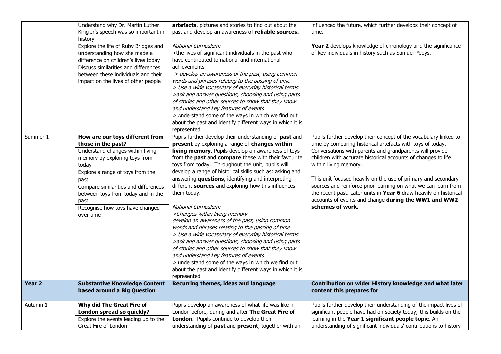|                   | Understand why Dr. Martin Luther     | artefacts, pictures and stories to find out about the     | influenced the future, which further develops their concept of     |
|-------------------|--------------------------------------|-----------------------------------------------------------|--------------------------------------------------------------------|
|                   | King Jr's speech was so important in | past and develop an awareness of reliable sources.        | time.                                                              |
|                   | history                              |                                                           |                                                                    |
|                   | Explore the life of Ruby Bridges and | National Curriculum:                                      | Year 2 develops knowledge of chronology and the significance       |
|                   | understanding how she made a         | >the lives of significant individuals in the past who     | of key individuals in history such as Samuel Pepys.                |
|                   | difference on children's lives today | have contributed to national and international            |                                                                    |
|                   | Discuss similarities and differences | achievements                                              |                                                                    |
|                   | between these individuals and their  | > develop an awareness of the past, using common          |                                                                    |
|                   | impact on the lives of other people  | words and phrases relating to the passing of time         |                                                                    |
|                   |                                      | > Use a wide vocabulary of everyday historical terms.     |                                                                    |
|                   |                                      | >ask and answer questions, choosing and using parts       |                                                                    |
|                   |                                      | of stories and other sources to show that they know       |                                                                    |
|                   |                                      | and understand key features of events                     |                                                                    |
|                   |                                      | $>$ understand some of the ways in which we find out      |                                                                    |
|                   |                                      | about the past and identify different ways in which it is |                                                                    |
|                   |                                      | represented                                               |                                                                    |
| Summer 1          | How are our toys different from      | Pupils further develop their understanding of past and    | Pupils further develop their concept of the vocabulary linked to   |
|                   | those in the past?                   | present by exploring a range of changes within            | time by comparing historical artefacts with toys of today.         |
|                   | Understand changes within living     | living memory. Pupils develop an awareness of toys        | Conversations with parents and grandparents will provide           |
|                   | memory by exploring toys from        | from the past and compare these with their favourite      | children with accurate historical accounts of changes to life      |
|                   | today                                | toys from today. Throughout the unit, pupils will         | within living memory.                                              |
|                   | Explore a range of toys from the     | develop a range of historical skills such as: asking and  |                                                                    |
|                   | past                                 | answering questions, identifying and interpreting         | This unit focused heavily on the use of primary and secondary      |
|                   | Compare similarities and differences | different sources and exploring how this influences       | sources and reinforce prior learning on what we can learn from     |
|                   | between toys from today and in the   | them today.                                               | the recent past. Later units in Year 6 draw heavily on historical  |
|                   | past                                 |                                                           | accounts of events and change during the WW1 and WW2               |
|                   | Recognise how toys have changed      | National Curriculum:                                      | schemes of work.                                                   |
|                   | over time                            | >Changes within living memory                             |                                                                    |
|                   |                                      | develop an awareness of the past, using common            |                                                                    |
|                   |                                      | words and phrases relating to the passing of time         |                                                                    |
|                   |                                      | > Use a wide vocabulary of everyday historical terms.     |                                                                    |
|                   |                                      | >ask and answer questions, choosing and using parts       |                                                                    |
|                   |                                      | of stories and other sources to show that they know       |                                                                    |
|                   |                                      | and understand key features of events                     |                                                                    |
|                   |                                      | > understand some of the ways in which we find out        |                                                                    |
|                   |                                      | about the past and identify different ways in which it is |                                                                    |
|                   |                                      | represented                                               |                                                                    |
| Year <sub>2</sub> | <b>Substantive Knowledge Content</b> | Recurring themes, ideas and language                      | Contribution on wider History knowledge and what later             |
|                   | based around a Big Question          |                                                           | content this prepares for                                          |
| Autumn 1          | Why did The Great Fire of            | Pupils develop an awareness of what life was like in      | Pupils further develop their understanding of the impact lives of  |
|                   | London spread so quickly?            | London before, during and after The Great Fire of         | significant people have had on society today; this builds on the   |
|                   | Explore the events leading up to the | London. Pupils continue to develop their                  | learning in the Year 1 significant people topic. An                |
|                   | Great Fire of London                 | understanding of past and present, together with an       | understanding of significant individuals' contributions to history |
|                   |                                      |                                                           |                                                                    |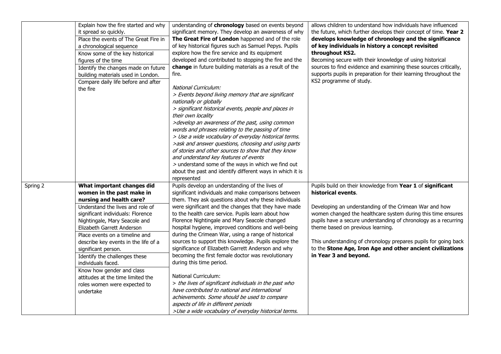|          | Explain how the fire started and why<br>it spread so quickly.<br>Place the events of The Great Fire in<br>a chronological sequence<br>Know some of the key historical<br>figures of the time<br>Identify the changes made on future<br>building materials used in London.<br>Compare daily life before and after<br>the fire                                                                                                                                                                       | understanding of chronology based on events beyond<br>significant memory. They develop an awareness of why<br>The Great Fire of London happened and of the role<br>of key historical figures such as Samuel Pepys. Pupils<br>explore how the fire service and its equipment<br>developed and contributed to stopping the fire and the<br>change in future building materials as a result of the<br>fire.<br>National Curriculum:<br>> Events beyond living memory that are significant<br>nationally or globally<br>> significant historical events, people and places in<br>their own locality<br>>develop an awareness of the past, using common<br>words and phrases relating to the passing of time<br>> Use a wide vocabulary of everyday historical terms.<br>>ask and answer questions, choosing and using parts<br>of stories and other sources to show that they know<br>and understand key features of events                   | allows children to understand how individuals have influenced<br>the future, which further develops their concept of time. Year 2<br>develops knowledge of chronology and the significance<br>of key individuals in history a concept revisited<br>throughout KS2.<br>Becoming secure with their knowledge of using historical<br>sources to find evidence and examining these sources critically,<br>supports pupils in preparation for their learning throughout the<br>KS2 programme of study. |
|----------|----------------------------------------------------------------------------------------------------------------------------------------------------------------------------------------------------------------------------------------------------------------------------------------------------------------------------------------------------------------------------------------------------------------------------------------------------------------------------------------------------|-------------------------------------------------------------------------------------------------------------------------------------------------------------------------------------------------------------------------------------------------------------------------------------------------------------------------------------------------------------------------------------------------------------------------------------------------------------------------------------------------------------------------------------------------------------------------------------------------------------------------------------------------------------------------------------------------------------------------------------------------------------------------------------------------------------------------------------------------------------------------------------------------------------------------------------------|---------------------------------------------------------------------------------------------------------------------------------------------------------------------------------------------------------------------------------------------------------------------------------------------------------------------------------------------------------------------------------------------------------------------------------------------------------------------------------------------------|
|          |                                                                                                                                                                                                                                                                                                                                                                                                                                                                                                    | > understand some of the ways in which we find out<br>about the past and identify different ways in which it is<br>represented                                                                                                                                                                                                                                                                                                                                                                                                                                                                                                                                                                                                                                                                                                                                                                                                            |                                                                                                                                                                                                                                                                                                                                                                                                                                                                                                   |
| Spring 2 | What important changes did<br>women in the past make in<br>nursing and health care?<br>Understand the lives and role of<br>significant individuals: Florence<br>Nightingale, Mary Seacole and<br>Elizabeth Garrett Anderson<br>Place events on a timeline and<br>describe key events in the life of a<br>significant person.<br>Identify the challenges these<br>individuals faced.<br>Know how gender and class<br>attitudes at the time limited the<br>roles women were expected to<br>undertake | Pupils develop an understanding of the lives of<br>significant individuals and make comparisons between<br>them. They ask questions about why these individuals<br>were significant and the changes that they have made<br>to the health care service. Pupils learn about how<br>Florence Nightingale and Mary Seacole changed<br>hospital hygiene, improved conditions and well-being<br>during the Crimean War, using a range of historical<br>sources to support this knowledge. Pupils explore the<br>significance of Elizabeth Garrett Anderson and why<br>becoming the first female doctor was revolutionary<br>during this time period.<br><b>National Curriculum:</b><br>> the lives of significant individuals in the past who<br>have contributed to national and international<br>achievements. Some should be used to compare<br>aspects of life in different periods<br>>Use a wide vocabulary of everyday historical terms. | Pupils build on their knowledge from Year 1 of significant<br>historical events.<br>Developing an understanding of the Crimean War and how<br>women changed the healthcare system during this time ensures<br>pupils have a secure understanding of chronology as a recurring<br>theme based on previous learning.<br>This understanding of chronology prepares pupils for going back<br>to the Stone Age, Iron Age and other ancient civilizations<br>in Year 3 and beyond.                      |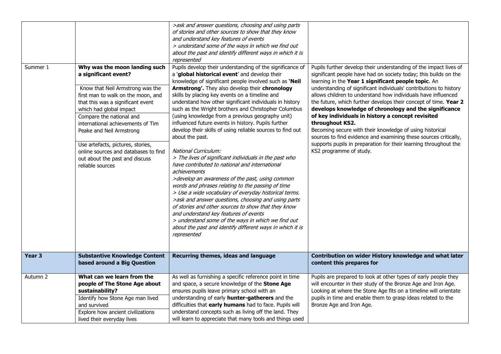| Summer 1 | Why was the moon landing such<br>a significant event?<br>Know that Neil Armstrong was the<br>first man to walk on the moon, and<br>that this was a significant event<br>which had global impact<br>Compare the national and<br>international achievements of Tim<br>Peake and Neil Armstrong<br>Use artefacts, pictures, stories,<br>online sources and databases to find<br>out about the past and discuss<br>reliable sources | >ask and answer questions, choosing and using parts<br>of stories and other sources to show that they know<br>and understand key features of events<br>> understand some of the ways in which we find out<br>about the past and identify different ways in which it is<br>represented<br>Pupils develop their understanding of the significance of<br>a 'global historical event' and develop their<br>knowledge of significant people involved such as 'Neil<br>Armstrong'. They also develop their chronology<br>skills by placing key events on a timeline and<br>understand how other significant individuals in history<br>such as the Wright brothers and Christopher Columbus<br>(using knowledge from a previous geography unit)<br>influenced future events in history. Pupils further<br>develop their skills of using reliable sources to find out<br>about the past.<br>National Curriculum:<br>> The lives of significant individuals in the past who<br>have contributed to national and international | Pupils further develop their understanding of the impact lives of<br>significant people have had on society today; this builds on the<br>learning in the Year 1 significant people topic. An<br>understanding of significant individuals' contributions to history<br>allows children to understand how individuals have influenced<br>the future, which further develops their concept of time. Year 2<br>develops knowledge of chronology and the significance<br>of key individuals in history a concept revisited<br>throughout KS2.<br>Becoming secure with their knowledge of using historical<br>sources to find evidence and examining these sources critically,<br>supports pupils in preparation for their learning throughout the<br>KS2 programme of study. |
|----------|---------------------------------------------------------------------------------------------------------------------------------------------------------------------------------------------------------------------------------------------------------------------------------------------------------------------------------------------------------------------------------------------------------------------------------|----------------------------------------------------------------------------------------------------------------------------------------------------------------------------------------------------------------------------------------------------------------------------------------------------------------------------------------------------------------------------------------------------------------------------------------------------------------------------------------------------------------------------------------------------------------------------------------------------------------------------------------------------------------------------------------------------------------------------------------------------------------------------------------------------------------------------------------------------------------------------------------------------------------------------------------------------------------------------------------------------------------------|-------------------------------------------------------------------------------------------------------------------------------------------------------------------------------------------------------------------------------------------------------------------------------------------------------------------------------------------------------------------------------------------------------------------------------------------------------------------------------------------------------------------------------------------------------------------------------------------------------------------------------------------------------------------------------------------------------------------------------------------------------------------------|
|          |                                                                                                                                                                                                                                                                                                                                                                                                                                 | achievements<br>>develop an awareness of the past, using common<br>words and phrases relating to the passing of time<br>> Use a wide vocabulary of everyday historical terms.<br>>ask and answer questions, choosing and using parts<br>of stories and other sources to show that they know<br>and understand key features of events<br>> understand some of the ways in which we find out<br>about the past and identify different ways in which it is<br>represented                                                                                                                                                                                                                                                                                                                                                                                                                                                                                                                                               |                                                                                                                                                                                                                                                                                                                                                                                                                                                                                                                                                                                                                                                                                                                                                                         |
| Year 3   | <b>Substantive Knowledge Content</b><br>based around a Big Question                                                                                                                                                                                                                                                                                                                                                             | Recurring themes, ideas and language                                                                                                                                                                                                                                                                                                                                                                                                                                                                                                                                                                                                                                                                                                                                                                                                                                                                                                                                                                                 | Contribution on wider History knowledge and what later<br>content this prepares for                                                                                                                                                                                                                                                                                                                                                                                                                                                                                                                                                                                                                                                                                     |
| Autumn 2 | What can we learn from the<br>people of The Stone Age about<br>sustainability?<br>Identify how Stone Age man lived<br>and survived<br>Explore how ancient civilizations<br>lived their everyday lives                                                                                                                                                                                                                           | As well as furnishing a specific reference point in time<br>and space, a secure knowledge of the Stone Age<br>ensures pupils leave primary school with an<br>understanding of early hunter-gatherers and the<br>difficulties that early humans had to face. Pupils will<br>understand concepts such as living off the land. They<br>will learn to appreciate that many tools and things used                                                                                                                                                                                                                                                                                                                                                                                                                                                                                                                                                                                                                         | Pupils are prepared to look at other types of early people they<br>will encounter in their study of the Bronze Age and Iron Age.<br>Looking at where the Stone Age fits on a timeline will orientate<br>pupils in time and enable them to grasp ideas related to the<br>Bronze Age and Iron Age.                                                                                                                                                                                                                                                                                                                                                                                                                                                                        |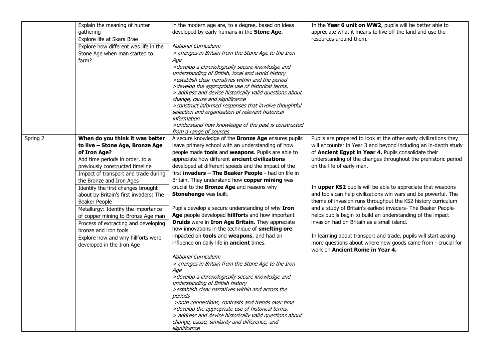|          | Explain the meaning of hunter                           | in the modern age are, to a degree, based on ideas                                                    | In the Year 6 unit on WW2, pupils will be better able to          |
|----------|---------------------------------------------------------|-------------------------------------------------------------------------------------------------------|-------------------------------------------------------------------|
|          | gathering                                               | developed by early humans in the Stone Age.                                                           | appreciate what it means to live off the land and use the         |
|          | Explore life at Skara Brae                              |                                                                                                       | resources around them.                                            |
|          | Explore how different was life in the                   | National Curriculum:                                                                                  |                                                                   |
|          | Stone Age when man started to<br>farm?                  | > changes in Britain from the Stone Age to the Iron<br>Age                                            |                                                                   |
|          |                                                         | >develop a chronologically secure knowledge and                                                       |                                                                   |
|          |                                                         | understanding of British, local and world history                                                     |                                                                   |
|          |                                                         | > establish clear narratives within and the period                                                    |                                                                   |
|          |                                                         | >develop the appropriate use of historical terms.                                                     |                                                                   |
|          |                                                         | > address and devise historically valid questions about<br>change, cause and significance             |                                                                   |
|          |                                                         | >construct informed responses that involve thoughtful                                                 |                                                                   |
|          |                                                         | selection and organisation of relevant historical                                                     |                                                                   |
|          |                                                         | information                                                                                           |                                                                   |
|          |                                                         | >understand how knowledge of the past is constructed                                                  |                                                                   |
|          |                                                         | from a range of sources                                                                               |                                                                   |
| Spring 2 | When do you think it was better                         | A secure knowledge of the <b>Bronze Age</b> ensures pupils                                            | Pupils are prepared to look at the other early civilizations they |
|          | to live - Stone Age, Bronze Age                         | leave primary school with an understanding of how                                                     | will encounter in Year 3 and beyond including an in-depth study   |
|          | of Iron Age?                                            | people made tools and weapons. Pupils are able to                                                     | of Ancient Egypt in Year 4. Pupils consolidate their              |
|          | Add time periods in order, to a                         | appreciate how different ancient civilizations                                                        | understanding of the changes throughout the prehistoric period    |
|          | previously constructed timeline                         | developed at different speeds and the impact of the                                                   | on the life of early man.                                         |
|          | Impact of transport and trade during                    | first invaders - The Beaker People - had on life in<br>Britain. They understand how copper mining was |                                                                   |
|          | the Bronze and Iron Ages                                | crucial to the <b>Bronze Age</b> and reasons why                                                      | In upper KS2 pupils will be able to appreciate that weapons       |
|          | Identify the first changes brought                      | Stonehenge was built.                                                                                 | and tools can help civilizations win wars and be powerful. The    |
|          | about by Britain's first invaders: The<br>Beaker People |                                                                                                       | theme of invasion runs throughout the KS2 history curriculum      |
|          | Metallurgy: Identify the importance                     | Pupils develop a secure understanding of why Iron                                                     | and a study of Britain's earliest invaders- The Beaker People-    |
|          | of copper mining to Bronze Age man                      | Age people developed hillforts and how important                                                      | helps pupils begin to build an understanding of the impact        |
|          | Process of extracting and developing                    | Druids were in Iron Age Britain. They appreciate                                                      | invasion had on Britain as a small island.                        |
|          | bronze and iron tools                                   | how innovations in the technique of smelting ore                                                      |                                                                   |
|          | Explore how and why hillforts were                      | impacted on tools and weapons, and had an                                                             | In learning about transport and trade, pupils will start asking   |
|          | developed in the Iron Age                               | influence on daily life in ancient times.                                                             | more questions about where new goods came from - crucial for      |
|          |                                                         |                                                                                                       | work on Ancient Rome in Year 4.                                   |
|          |                                                         | National Curriculum:                                                                                  |                                                                   |
|          |                                                         | > changes in Britain from the Stone Age to the Iron                                                   |                                                                   |
|          |                                                         | Age                                                                                                   |                                                                   |
|          |                                                         | >develop a chronologically secure knowledge and<br>understanding of British history                   |                                                                   |
|          |                                                         | >establish clear narratives within and across the                                                     |                                                                   |
|          |                                                         | periods                                                                                               |                                                                   |
|          |                                                         | >note connections, contrasts and trends over time                                                     |                                                                   |
|          |                                                         | >develop the appropriate use of historical terms.                                                     |                                                                   |
|          |                                                         | > address and devise historically valid questions about                                               |                                                                   |
|          |                                                         | change, cause, similarity and difference, and                                                         |                                                                   |
|          |                                                         | significance                                                                                          |                                                                   |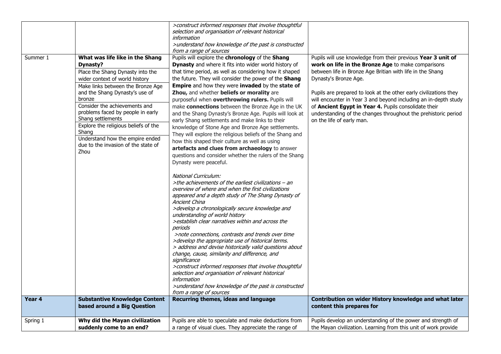| Summer 1 | What was life like in the Shang<br>Dynasty?<br>Place the Shang Dynasty into the<br>wider context of world history<br>Make links between the Bronze Age<br>and the Shang Dynasty's use of<br>bronze<br>Consider the achievements and<br>problems faced by people in early<br>Shang settlements<br>Explore the religious beliefs of the<br>Shang<br>Understand how the empire ended<br>due to the invasion of the state of<br><b>Zhou</b> | >construct informed responses that involve thoughtful<br>selection and organisation of relevant historical<br>information<br>>understand how knowledge of the past is constructed<br>from a range of sources<br>Pupils will explore the chronology of the Shang<br>Dynasty and where it fits into wider world history of<br>that time period, as well as considering how it shaped<br>the future. They will consider the power of the Shang<br>Empire and how they were invaded by the state of<br>Zhou, and whether beliefs or morality are<br>purposeful when overthrowing rulers. Pupils will<br>make connections between the Bronze Age in the UK<br>and the Shang Dynasty's Bronze Age. Pupils will look at<br>early Shang settlements and make links to their<br>knowledge of Stone Age and Bronze Age settlements.<br>They will explore the religious beliefs of the Shang and<br>how this shaped their culture as well as using<br>artefacts and clues from archaeology to answer<br>questions and consider whether the rulers of the Shang<br>Dynasty were peaceful.<br>National Curriculum:<br>>the achievements of the earliest civilizations - an<br>overview of where and when the first civilizations<br>appeared and a depth study of The Shang Dynasty of<br>Ancient China<br>>develop a chronologically secure knowledge and<br>understanding of world history<br>>establish clear narratives within and across the<br>periods<br>>note connections, contrasts and trends over time<br>>develop the appropriate use of historical terms.<br>> address and devise historically valid questions about<br>change, cause, similarity and difference, and<br>significance<br>>construct informed responses that involve thoughtful | Pupils will use knowledge from their previous Year 3 unit of<br>work on life in the Bronze Age to make comparisons<br>between life in Bronze Age Britian with life in the Shang<br>Dynasty's Bronze Age.<br>Pupils are prepared to look at the other early civilizations they<br>will encounter in Year 3 and beyond including an in-depth study<br>of Ancient Egypt in Year 4. Pupils consolidate their<br>understanding of the changes throughout the prehistoric period<br>on the life of early man. |
|----------|-----------------------------------------------------------------------------------------------------------------------------------------------------------------------------------------------------------------------------------------------------------------------------------------------------------------------------------------------------------------------------------------------------------------------------------------|------------------------------------------------------------------------------------------------------------------------------------------------------------------------------------------------------------------------------------------------------------------------------------------------------------------------------------------------------------------------------------------------------------------------------------------------------------------------------------------------------------------------------------------------------------------------------------------------------------------------------------------------------------------------------------------------------------------------------------------------------------------------------------------------------------------------------------------------------------------------------------------------------------------------------------------------------------------------------------------------------------------------------------------------------------------------------------------------------------------------------------------------------------------------------------------------------------------------------------------------------------------------------------------------------------------------------------------------------------------------------------------------------------------------------------------------------------------------------------------------------------------------------------------------------------------------------------------------------------------------------------------------------------------------------------------------------------------------------------------------|---------------------------------------------------------------------------------------------------------------------------------------------------------------------------------------------------------------------------------------------------------------------------------------------------------------------------------------------------------------------------------------------------------------------------------------------------------------------------------------------------------|
|          |                                                                                                                                                                                                                                                                                                                                                                                                                                         | selection and organisation of relevant historical<br>information<br>>understand how knowledge of the past is constructed<br>from a range of sources                                                                                                                                                                                                                                                                                                                                                                                                                                                                                                                                                                                                                                                                                                                                                                                                                                                                                                                                                                                                                                                                                                                                                                                                                                                                                                                                                                                                                                                                                                                                                                                            |                                                                                                                                                                                                                                                                                                                                                                                                                                                                                                         |
| Year 4   | <b>Substantive Knowledge Content</b><br>based around a Big Question                                                                                                                                                                                                                                                                                                                                                                     | Recurring themes, ideas and language                                                                                                                                                                                                                                                                                                                                                                                                                                                                                                                                                                                                                                                                                                                                                                                                                                                                                                                                                                                                                                                                                                                                                                                                                                                                                                                                                                                                                                                                                                                                                                                                                                                                                                           | Contribution on wider History knowledge and what later<br>content this prepares for                                                                                                                                                                                                                                                                                                                                                                                                                     |
| Spring 1 | Why did the Mayan civilization<br>suddenly come to an end?                                                                                                                                                                                                                                                                                                                                                                              | Pupils are able to speculate and make deductions from<br>a range of visual clues. They appreciate the range of                                                                                                                                                                                                                                                                                                                                                                                                                                                                                                                                                                                                                                                                                                                                                                                                                                                                                                                                                                                                                                                                                                                                                                                                                                                                                                                                                                                                                                                                                                                                                                                                                                 | Pupils develop an understanding of the power and strength of<br>the Mayan civilization. Learning from this unit of work provide                                                                                                                                                                                                                                                                                                                                                                         |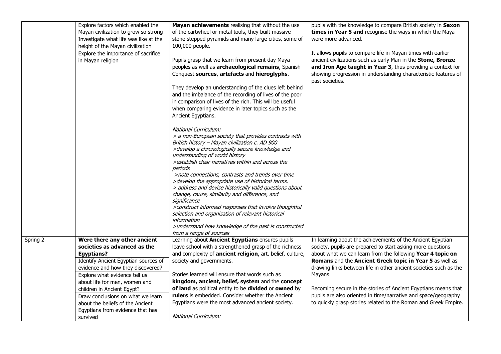|          | Explore factors which enabled the     | Mayan achievements realising that without the use                                                      | pupils with the knowledge to compare British society in Saxon                                                               |
|----------|---------------------------------------|--------------------------------------------------------------------------------------------------------|-----------------------------------------------------------------------------------------------------------------------------|
|          | Mayan civilization to grow so strong  | of the cartwheel or metal tools, they built massive                                                    | times in Year 5 and recognise the ways in which the Maya                                                                    |
|          | Investigate what life was like at the | stone stepped pyramids and many large cities, some of                                                  | were more advanced.                                                                                                         |
|          | height of the Mayan civilization      | 100,000 people.                                                                                        |                                                                                                                             |
|          | Explore the importance of sacrifice   |                                                                                                        | It allows pupils to compare life in Mayan times with earlier                                                                |
|          | in Mayan religion                     | Pupils grasp that we learn from present day Maya<br>peoples as well as archaeological remains, Spanish | ancient civilizations such as early Man in the Stone, Bronze<br>and Iron Age taught in Year 3, thus providing a context for |
|          |                                       | Conquest sources, artefacts and hieroglyphs.                                                           | showing progression in understanding characteristic features of<br>past societies.                                          |
|          |                                       | They develop an understanding of the clues left behind                                                 |                                                                                                                             |
|          |                                       | and the imbalance of the recording of lives of the poor                                                |                                                                                                                             |
|          |                                       | in comparison of lives of the rich. This will be useful                                                |                                                                                                                             |
|          |                                       | when comparing evidence in later topics such as the                                                    |                                                                                                                             |
|          |                                       | Ancient Egyptians.                                                                                     |                                                                                                                             |
|          |                                       | National Curriculum:                                                                                   |                                                                                                                             |
|          |                                       | > a non-European society that provides contrasts with                                                  |                                                                                                                             |
|          |                                       | British history - Mayan civilization c. AD 900                                                         |                                                                                                                             |
|          |                                       | >develop a chronologically secure knowledge and                                                        |                                                                                                                             |
|          |                                       | understanding of world history<br>>establish clear narratives within and across the                    |                                                                                                                             |
|          |                                       | periods                                                                                                |                                                                                                                             |
|          |                                       | >note connections, contrasts and trends over time                                                      |                                                                                                                             |
|          |                                       | >develop the appropriate use of historical terms.                                                      |                                                                                                                             |
|          |                                       | > address and devise historically valid questions about                                                |                                                                                                                             |
|          |                                       | change, cause, similarity and difference, and                                                          |                                                                                                                             |
|          |                                       | significance                                                                                           |                                                                                                                             |
|          |                                       | >construct informed responses that involve thoughtful                                                  |                                                                                                                             |
|          |                                       | selection and organisation of relevant historical                                                      |                                                                                                                             |
|          |                                       | information                                                                                            |                                                                                                                             |
|          |                                       | >understand how knowledge of the past is constructed<br>from a range of sources                        |                                                                                                                             |
| Spring 2 | Were there any other ancient          | Learning about Ancient Egyptians ensures pupils                                                        | In learning about the achievements of the Ancient Egyptian                                                                  |
|          | societies as advanced as the          | leave school with a strengthened grasp of the richness                                                 | society, pupils are prepared to start asking more questions                                                                 |
|          | <b>Egyptians?</b>                     | and complexity of ancient religion, art, belief, culture,                                              | about what we can learn from the following Year 4 topic on                                                                  |
|          | Identify Ancient Egyptian sources of  | society and governments.                                                                               | Romans and the Ancient Greek topic in Year 5 as well as                                                                     |
|          | evidence and how they discovered?     |                                                                                                        | drawing links between life in other ancient societies such as the                                                           |
|          | Explore what evidence tell us         | Stories learned will ensure that words such as                                                         | Mayans.                                                                                                                     |
|          | about life for men, women and         | kingdom, ancient, belief, system and the concept                                                       |                                                                                                                             |
|          | children in Ancient Egypt?            | of land as political entity to be divided or owned by                                                  | Becoming secure in the stories of Ancient Egyptians means that                                                              |
|          | Draw conclusions on what we learn     | rulers is embedded. Consider whether the Ancient                                                       | pupils are also oriented in time/narrative and space/geography                                                              |
|          | about the beliefs of the Ancient      | Egyptians were the most advanced ancient society.                                                      | to quickly grasp stories related to the Roman and Greek Empire.                                                             |
|          | Egyptians from evidence that has      |                                                                                                        |                                                                                                                             |
|          | survived                              | <b>National Curriculum:</b>                                                                            |                                                                                                                             |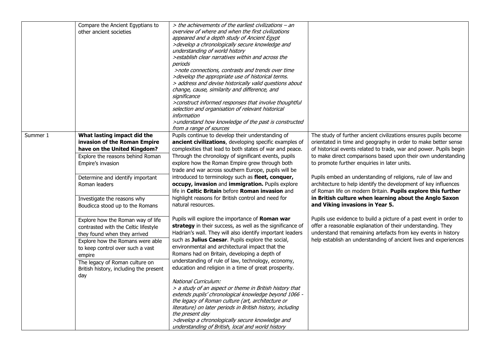|          | Compare the Ancient Egyptians to       | > the achievements of the earliest civilizations - an         |                                                                    |
|----------|----------------------------------------|---------------------------------------------------------------|--------------------------------------------------------------------|
|          | other ancient societies                | overview of where and when the first civilizations            |                                                                    |
|          |                                        | appeared and a depth study of Ancient Egypt                   |                                                                    |
|          |                                        | >develop a chronologically secure knowledge and               |                                                                    |
|          |                                        | understanding of world history                                |                                                                    |
|          |                                        | >establish clear narratives within and across the             |                                                                    |
|          |                                        | periods                                                       |                                                                    |
|          |                                        | >note connections, contrasts and trends over time             |                                                                    |
|          |                                        | >develop the appropriate use of historical terms.             |                                                                    |
|          |                                        | > address and devise historically valid questions about       |                                                                    |
|          |                                        | change, cause, similarity and difference, and<br>significance |                                                                    |
|          |                                        | >construct informed responses that involve thoughtful         |                                                                    |
|          |                                        | selection and organisation of relevant historical             |                                                                    |
|          |                                        | information                                                   |                                                                    |
|          |                                        | >understand how knowledge of the past is constructed          |                                                                    |
|          |                                        | from a range of sources                                       |                                                                    |
| Summer 1 | What lasting impact did the            | Pupils continue to develop their understanding of             | The study of further ancient civilizations ensures pupils become   |
|          | invasion of the Roman Empire           | ancient civilizations, developing specific examples of        | orientated in time and geography in order to make better sense     |
|          | have on the United Kingdom?            | complexities that lead to both states of war and peace.       | of historical events related to trade, war and power. Pupils begin |
|          | Explore the reasons behind Roman       | Through the chronology of significant events, pupils          | to make direct comparisons based upon their own understanding      |
|          | Empire's invasion                      | explore how the Roman Empire grew through both                | to promote further enquiries in later units.                       |
|          |                                        | trade and war across southern Europe, pupils will be          |                                                                    |
|          | Determine and identify important       | introduced to terminology such as fleet, conquer,             | Pupils embed an understanding of religions, rule of law and        |
|          | Roman leaders                          | occupy, invasion and immigration. Pupils explore              | architecture to help identify the development of key influences    |
|          |                                        | life in Celtic Britain before Roman invasion and              | of Roman life on modern Britain. Pupils explore this further       |
|          | Investigate the reasons why            | highlight reasons for British control and need for            | in British culture when learning about the Anglo Saxon             |
|          | Boudicca stood up to the Romans        | natural resources.                                            | and Viking invasions in Year 5.                                    |
|          |                                        |                                                               |                                                                    |
|          | Explore how the Roman way of life      | Pupils will explore the importance of Roman war               | Pupils use evidence to build a picture of a past event in order to |
|          | contrasted with the Celtic lifestyle   | strategy in their success, as well as the significance of     | offer a reasonable explanation of their understanding. They        |
|          | they found when they arrived           | Hadrian's wall. They will also identify important leaders     | understand that remaining artefacts from key events in history     |
|          | Explore how the Romans were able       | such as Julius Caesar. Pupils explore the social,             | help establish an understanding of ancient lives and experiences   |
|          | to keep control over such a vast       | environmental and architectural impact that the               |                                                                    |
|          | empire                                 | Romans had on Britain, developing a depth of                  |                                                                    |
|          | The legacy of Roman culture on         | understanding of rule of law, technology, economy,            |                                                                    |
|          | British history, including the present | education and religion in a time of great prosperity.         |                                                                    |
|          | day                                    |                                                               |                                                                    |
|          |                                        | National Curriculum:                                          |                                                                    |
|          |                                        | > a study of an aspect or theme in British history that       |                                                                    |
|          |                                        | extends pupils' chronological knowledge beyond 1066 -         |                                                                    |
|          |                                        | the legacy of Roman culture (art, architecture or             |                                                                    |
|          |                                        | literature) on later periods in British history, including    |                                                                    |
|          |                                        | the present day                                               |                                                                    |
|          |                                        | >develop a chronologically secure knowledge and               |                                                                    |
|          |                                        | understanding of British, local and world history             |                                                                    |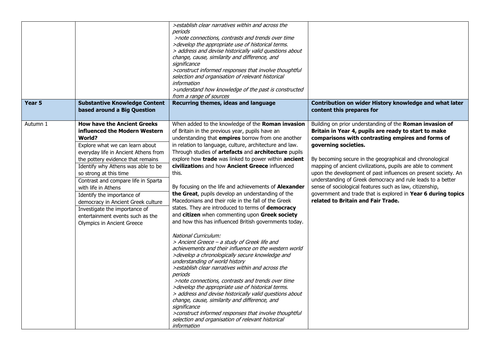| Year 5   | <b>Substantive Knowledge Content</b><br>based around a Big Question                                                                                                                                                                                                                                                                                                                                                                                                                                              | >establish clear narratives within and across the<br>periods<br>>note connections, contrasts and trends over time<br>>develop the appropriate use of historical terms.<br>> address and devise historically valid questions about<br>change, cause, similarity and difference, and<br>significance<br>>construct informed responses that involve thoughtful<br>selection and organisation of relevant historical<br>information<br>>understand how knowledge of the past is constructed<br>from a range of sources<br>Recurring themes, ideas and language                                                                                                                                                                                                                                                                                                                                                                                                                                                                                                                                                                                                                                                                                                                                                                                                                                       | Contribution on wider History knowledge and what later<br>content this prepares for                                                                                                                                                                                                                                                                                                                                                                                                                                                                                                                                           |
|----------|------------------------------------------------------------------------------------------------------------------------------------------------------------------------------------------------------------------------------------------------------------------------------------------------------------------------------------------------------------------------------------------------------------------------------------------------------------------------------------------------------------------|--------------------------------------------------------------------------------------------------------------------------------------------------------------------------------------------------------------------------------------------------------------------------------------------------------------------------------------------------------------------------------------------------------------------------------------------------------------------------------------------------------------------------------------------------------------------------------------------------------------------------------------------------------------------------------------------------------------------------------------------------------------------------------------------------------------------------------------------------------------------------------------------------------------------------------------------------------------------------------------------------------------------------------------------------------------------------------------------------------------------------------------------------------------------------------------------------------------------------------------------------------------------------------------------------------------------------------------------------------------------------------------------------|-------------------------------------------------------------------------------------------------------------------------------------------------------------------------------------------------------------------------------------------------------------------------------------------------------------------------------------------------------------------------------------------------------------------------------------------------------------------------------------------------------------------------------------------------------------------------------------------------------------------------------|
| Autumn 1 | <b>How have the Ancient Greeks</b><br>influenced the Modern Western<br><b>World?</b><br>Explore what we can learn about<br>everyday life in Ancient Athens from<br>the pottery evidence that remains<br>Identify why Athens was able to be<br>so strong at this time<br>Contrast and compare life in Sparta<br>with life in Athens<br>Identify the importance of<br>democracy in Ancient Greek culture<br>Investigate the importance of<br>entertainment events such as the<br><b>Olympics in Ancient Greece</b> | When added to the knowledge of the Roman invasion<br>of Britain in the previous year, pupils have an<br>understanding that empires borrow from one another<br>in relation to language, culture, architecture and law.<br>Through studies of artefacts and architecture pupils<br>explore how trade was linked to power within ancient<br>civilizations and how Ancient Greece influenced<br>this.<br>By focusing on the life and achievements of Alexander<br>the Great, pupils develop an understanding of the<br>Macedonians and their role in the fall of the Greek<br>states. They are introduced to terms of democracy<br>and citizen when commenting upon Greek society<br>and how this has influenced British governments today.<br>National Curriculum:<br>> Ancient Greece - a study of Greek life and<br>achievements and their influence on the western world<br>>develop a chronologically secure knowledge and<br>understanding of world history<br>>establish clear narratives within and across the<br>periods<br>>note connections, contrasts and trends over time<br>>develop the appropriate use of historical terms.<br>> address and devise historically valid questions about<br>change, cause, similarity and difference, and<br>significance<br>>construct informed responses that involve thoughtful<br>selection and organisation of relevant historical<br>information | Building on prior understanding of the Roman invasion of<br>Britain in Year 4, pupils are ready to start to make<br>comparisons with contrasting empires and forms of<br>governing societies.<br>By becoming secure in the geographical and chronological<br>mapping of ancient civilizations, pupils are able to comment<br>upon the development of past influences on present society. An<br>understanding of Greek democracy and rule leads to a better<br>sense of sociological features such as law, citizenship,<br>government and trade that is explored in Year 6 during topics<br>related to Britain and Fair Trade. |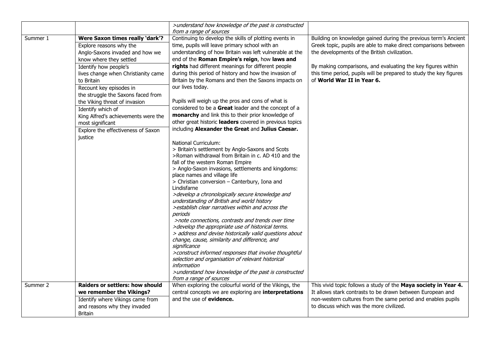|          |                                     | >understand how knowledge of the past is constructed<br>from a range of sources                        |                                                                    |
|----------|-------------------------------------|--------------------------------------------------------------------------------------------------------|--------------------------------------------------------------------|
| Summer 1 | Were Saxon times really 'dark'?     | Continuing to develop the skills of plotting events in                                                 | Building on knowledge gained during the previous term's Ancient    |
|          | Explore reasons why the             | time, pupils will leave primary school with an                                                         | Greek topic, pupils are able to make direct comparisons between    |
|          | Anglo-Saxons invaded and how we     | understanding of how Britain was left vulnerable at the                                                | the developments of the British civilization.                      |
|          | know where they settled             | end of the Roman Empire's reign, how laws and                                                          |                                                                    |
|          | Identify how people's               | rights had different meanings for different people                                                     | By making comparisons, and evaluating the key figures within       |
|          | lives change when Christianity came | during this period of history and how the invasion of                                                  | this time period, pupils will be prepared to study the key figures |
|          | to Britain                          | Britain by the Romans and then the Saxons impacts on                                                   | of World War II in Year 6.                                         |
|          | Recount key episodes in             | our lives today.                                                                                       |                                                                    |
|          | the struggle the Saxons faced from  |                                                                                                        |                                                                    |
|          | the Viking threat of invasion       | Pupils will weigh up the pros and cons of what is                                                      |                                                                    |
|          | Identify which of                   | considered to be a Great leader and the concept of a                                                   |                                                                    |
|          | King Alfred's achievements were the | monarchy and link this to their prior knowledge of                                                     |                                                                    |
|          | most significant                    | other great historic leaders covered in previous topics                                                |                                                                    |
|          | Explore the effectiveness of Saxon  | including Alexander the Great and Julius Caesar.                                                       |                                                                    |
|          | justice                             |                                                                                                        |                                                                    |
|          |                                     | <b>National Curriculum:</b>                                                                            |                                                                    |
|          |                                     | > Britain's settlement by Anglo-Saxons and Scots                                                       |                                                                    |
|          |                                     | >Roman withdrawal from Britain in c. AD 410 and the                                                    |                                                                    |
|          |                                     | fall of the western Roman Empire                                                                       |                                                                    |
|          |                                     | > Anglo-Saxon invasions, settlements and kingdoms:                                                     |                                                                    |
|          |                                     | place names and village life                                                                           |                                                                    |
|          |                                     | > Christian conversion - Canterbury, Iona and                                                          |                                                                    |
|          |                                     | Lindisfarne                                                                                            |                                                                    |
|          |                                     | >develop a chronologically secure knowledge and                                                        |                                                                    |
|          |                                     | understanding of British and world history                                                             |                                                                    |
|          |                                     | >establish clear narratives within and across the                                                      |                                                                    |
|          |                                     | periods                                                                                                |                                                                    |
|          |                                     | >note connections, contrasts and trends over time<br>>develop the appropriate use of historical terms. |                                                                    |
|          |                                     | > address and devise historically valid questions about                                                |                                                                    |
|          |                                     | change, cause, similarity and difference, and                                                          |                                                                    |
|          |                                     | significance                                                                                           |                                                                    |
|          |                                     | >construct informed responses that involve thoughtful                                                  |                                                                    |
|          |                                     | selection and organisation of relevant historical                                                      |                                                                    |
|          |                                     | information                                                                                            |                                                                    |
|          |                                     | >understand how knowledge of the past is constructed                                                   |                                                                    |
|          |                                     | from a range of sources                                                                                |                                                                    |
| Summer 2 | Raiders or settlers: how should     | When exploring the colourful world of the Vikings, the                                                 | This vivid topic follows a study of the Maya society in Year 4.    |
|          | we remember the Vikings?            | central concepts we are exploring are interpretations                                                  | It allows stark contrasts to be drawn between European and         |
|          | Identify where Vikings came from    | and the use of evidence.                                                                               | non-western cultures from the same period and enables pupils       |
|          | and reasons why they invaded        |                                                                                                        | to discuss which was the more civilized.                           |
|          | <b>Britain</b>                      |                                                                                                        |                                                                    |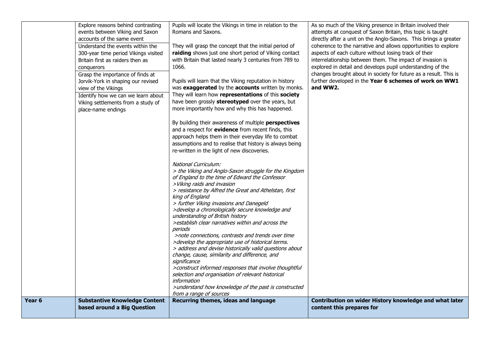| Pupils will learn that the Viking reputation in history<br>was exaggerated by the accounts written by monks.<br>They will learn how representations of this society<br>have been grossly stereotyped over the years, but<br>more importantly how and why this has happened.<br>By building their awareness of multiple perspectives                                                                                                                                                                                                                                                                                                                                                                            | explored in detail and develops pupil understanding of the<br>changes brought about in society for future as a result. This is<br>further developed in the Year 6 schemes of work on WW1<br>and WW2. |
|----------------------------------------------------------------------------------------------------------------------------------------------------------------------------------------------------------------------------------------------------------------------------------------------------------------------------------------------------------------------------------------------------------------------------------------------------------------------------------------------------------------------------------------------------------------------------------------------------------------------------------------------------------------------------------------------------------------|------------------------------------------------------------------------------------------------------------------------------------------------------------------------------------------------------|
| and a respect for evidence from recent finds, this<br>approach helps them in their everyday life to combat<br>assumptions and to realise that history is always being<br>re-written in the light of new discoveries.<br>National Curriculum:<br>> the Viking and Anglo-Saxon struggle for the Kingdom<br>of England to the time of Edward the Confessor<br>>Viking raids and invasion<br>> resistance by Alfred the Great and Athelstan, first<br>king of England<br>> further Viking invasions and Danegeld<br>>develop a chronologically secure knowledge and<br>understanding of British history<br>> establish clear narratives within and across the<br>>note connections, contrasts and trends over time |                                                                                                                                                                                                      |
| > address and devise historically valid questions about<br>change, cause, similarity and difference, and<br>>construct informed responses that involve thoughtful<br>selection and organisation of relevant historical<br>>understand how knowledge of the past is constructed<br>from a range of sources<br>Recurring themes, ideas and language                                                                                                                                                                                                                                                                                                                                                              | Contribution on wider History knowledge and what later<br>content this prepares for                                                                                                                  |
|                                                                                                                                                                                                                                                                                                                                                                                                                                                                                                                                                                                                                                                                                                                | >develop the appropriate use of historical terms.                                                                                                                                                    |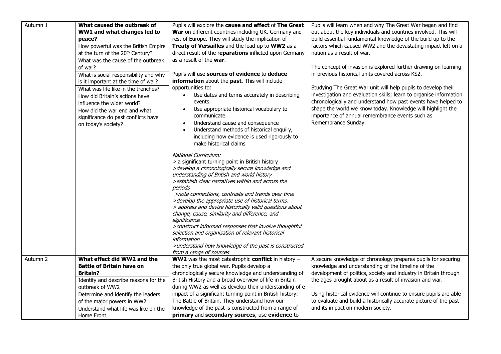| Autumn 1                                                                                                                  | What caused the outbreak of           | Pupils will explore the cause and effect of The Great                                     | Pupils will learn when and why The Great War began and find                                                                         |  |  |
|---------------------------------------------------------------------------------------------------------------------------|---------------------------------------|-------------------------------------------------------------------------------------------|-------------------------------------------------------------------------------------------------------------------------------------|--|--|
|                                                                                                                           | WW1 and what changes led to           | War on different countries including UK, Germany and                                      | out about the key individuals and countries involved. This will                                                                     |  |  |
|                                                                                                                           | peace?                                | rest of Europe. They will study the implication of                                        | build essential fundamental knowledge of the build up to the                                                                        |  |  |
| How powerful was the British Empire<br>at the turn of the 20 <sup>th</sup> Century?<br>What was the cause of the outbreak |                                       | Treaty of Versailles and the lead up to WW2 as a                                          | factors which caused WW2 and the devastating impact left on a                                                                       |  |  |
|                                                                                                                           |                                       | direct result of the reparations inflicted upon Germany                                   | nation as a result of war.                                                                                                          |  |  |
|                                                                                                                           |                                       | as a result of the <b>war</b> .                                                           |                                                                                                                                     |  |  |
|                                                                                                                           | of war?                               |                                                                                           | The concept of invasion is explored further drawing on learning                                                                     |  |  |
|                                                                                                                           | What is social responsibility and why | Pupils will use sources of evidence to deduce                                             | in previous historical units covered across KS2.                                                                                    |  |  |
|                                                                                                                           | is it important at the time of war?   | information about the past. This will include                                             |                                                                                                                                     |  |  |
|                                                                                                                           | What was life like in the trenches?   | opportunities to:                                                                         | Studying The Great War unit will help pupils to develop their                                                                       |  |  |
|                                                                                                                           | How did Britain's actions have        | Use dates and terms accurately in describing                                              | investigation and evaluation skills; learn to organise information<br>chronologically and understand how past events have helped to |  |  |
|                                                                                                                           | influence the wider world?            | events.                                                                                   |                                                                                                                                     |  |  |
|                                                                                                                           | How did the war end and what          | Use appropriate historical vocabulary to                                                  | shape the world we know today. Knowledge will highlight the                                                                         |  |  |
|                                                                                                                           | significance do past conflicts have   | communicate                                                                               | importance of annual remembrance events such as                                                                                     |  |  |
|                                                                                                                           | on today's society?                   | Understand cause and consequence                                                          | Remembrance Sunday.                                                                                                                 |  |  |
|                                                                                                                           |                                       | Understand methods of historical enquiry,<br>including how evidence is used rigorously to |                                                                                                                                     |  |  |
|                                                                                                                           |                                       | make historical claims                                                                    |                                                                                                                                     |  |  |
|                                                                                                                           |                                       |                                                                                           |                                                                                                                                     |  |  |
|                                                                                                                           |                                       | National Curriculum:                                                                      |                                                                                                                                     |  |  |
|                                                                                                                           |                                       | > a significant turning point in British history                                          |                                                                                                                                     |  |  |
|                                                                                                                           |                                       | >develop a chronologically secure knowledge and                                           |                                                                                                                                     |  |  |
|                                                                                                                           |                                       | understanding of British and world history                                                |                                                                                                                                     |  |  |
|                                                                                                                           |                                       | >establish clear narratives within and across the                                         |                                                                                                                                     |  |  |
|                                                                                                                           |                                       | periods<br>>note connections, contrasts and trends over time                              |                                                                                                                                     |  |  |
|                                                                                                                           |                                       | >develop the appropriate use of historical terms.                                         |                                                                                                                                     |  |  |
|                                                                                                                           |                                       | > address and devise historically valid questions about                                   |                                                                                                                                     |  |  |
|                                                                                                                           |                                       | change, cause, similarity and difference, and                                             |                                                                                                                                     |  |  |
|                                                                                                                           |                                       | significance                                                                              |                                                                                                                                     |  |  |
|                                                                                                                           |                                       | >construct informed responses that involve thoughtful                                     |                                                                                                                                     |  |  |
|                                                                                                                           |                                       | selection and organisation of relevant historical                                         |                                                                                                                                     |  |  |
|                                                                                                                           |                                       | information                                                                               |                                                                                                                                     |  |  |
|                                                                                                                           |                                       | >understand how knowledge of the past is constructed                                      |                                                                                                                                     |  |  |
| Autumn 2                                                                                                                  | What effect did WW2 and the           | from a range of sources<br>WW2 was the most catastrophic conflict in history -            | A secure knowledge of chronology prepares pupils for securing                                                                       |  |  |
|                                                                                                                           | <b>Battle of Britain have on</b>      | the only true global war. Pupils develop a                                                | knowledge and understanding of the timeline of the                                                                                  |  |  |
|                                                                                                                           | <b>Britain?</b>                       | chronologically secure knowledge and understanding of                                     | development of politics, society and industry in Britain through                                                                    |  |  |
|                                                                                                                           | Identify and describe reasons for the | British History and a broad overview of life in Britain                                   | the ages brought about as a result of invasion and war.                                                                             |  |  |
|                                                                                                                           | outbreak of WW2                       | during WW2 as well as develop their understanding of e                                    |                                                                                                                                     |  |  |
|                                                                                                                           | Determine and identify the leaders    | impact of a significant turning point in British history:                                 | Using historical evidence will continue to ensure pupils are able                                                                   |  |  |
|                                                                                                                           | of the major powers in WW2            | The Battle of Britain. They understand how our                                            | to evaluate and build a historically accurate picture of the past                                                                   |  |  |
|                                                                                                                           | Understand what life was like on the  | knowledge of the past is constructed from a range of                                      | and its impact on modern society.                                                                                                   |  |  |
|                                                                                                                           | Home Front                            | primary and secondary sources, use evidence to                                            |                                                                                                                                     |  |  |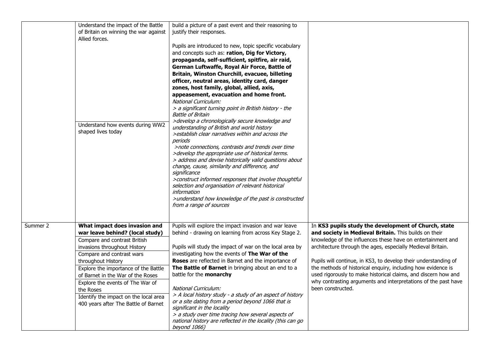|          | Understand the impact of the Battle<br>of Britain on winning the war against<br>Allied forces.<br>Understand how events during WW2<br>shaped lives today                                                                                                                                                                                                                                           | build a picture of a past event and their reasoning to<br>justify their responses.<br>Pupils are introduced to new, topic specific vocabulary<br>and concepts such as: ration, Dig for Victory,<br>propaganda, self-sufficient, spitfire, air raid,<br>German Luftwaffe, Royal Air Force, Battle of<br>Britain, Winston Churchill, evacuee, billeting<br>officer, neutral areas, identity card, danger<br>zones, host family, global, allied, axis,<br>appeasement, evacuation and home front.<br><b>National Curriculum:</b><br>> a significant turning point in British history - the<br><b>Battle of Britain</b><br>>develop a chronologically secure knowledge and<br>understanding of British and world history<br>>establish clear narratives within and across the<br>periods<br>>note connections, contrasts and trends over time<br>>develop the appropriate use of historical terms.<br>> address and devise historically valid questions about<br>change, cause, similarity and difference, and<br>significance<br>>construct informed responses that involve thoughtful<br>selection and organisation of relevant historical |                                                                                                                                                                                                                                                                                                                                                                                                                                                                                                                                         |
|----------|----------------------------------------------------------------------------------------------------------------------------------------------------------------------------------------------------------------------------------------------------------------------------------------------------------------------------------------------------------------------------------------------------|------------------------------------------------------------------------------------------------------------------------------------------------------------------------------------------------------------------------------------------------------------------------------------------------------------------------------------------------------------------------------------------------------------------------------------------------------------------------------------------------------------------------------------------------------------------------------------------------------------------------------------------------------------------------------------------------------------------------------------------------------------------------------------------------------------------------------------------------------------------------------------------------------------------------------------------------------------------------------------------------------------------------------------------------------------------------------------------------------------------------------------------|-----------------------------------------------------------------------------------------------------------------------------------------------------------------------------------------------------------------------------------------------------------------------------------------------------------------------------------------------------------------------------------------------------------------------------------------------------------------------------------------------------------------------------------------|
|          |                                                                                                                                                                                                                                                                                                                                                                                                    | information<br>>understand how knowledge of the past is constructed<br>from a range of sources                                                                                                                                                                                                                                                                                                                                                                                                                                                                                                                                                                                                                                                                                                                                                                                                                                                                                                                                                                                                                                           |                                                                                                                                                                                                                                                                                                                                                                                                                                                                                                                                         |
| Summer 2 | What impact does invasion and<br>war leave behind? (local study)<br>Compare and contrast British<br>invasions throughout History<br>Compare and contrast wars<br>throughout History<br>Explore the importance of the Battle<br>of Barnet in the War of the Roses<br>Explore the events of The War of<br>the Roses<br>Identify the impact on the local area<br>400 years after The Battle of Barnet | Pupils will explore the impact invasion and war leave<br>behind - drawing on learning from across Key Stage 2.<br>Pupils will study the impact of war on the local area by<br>investigating how the events of The War of the<br>Roses are reflected in Barnet and the importance of<br>The Battle of Barnet in bringing about an end to a<br>battle for the monarchy<br><b>National Curriculum:</b><br>> A local history study - a study of an aspect of history<br>or a site dating from a period beyond 1066 that is<br>significant in the locality<br>> a study over time tracing how several aspects of<br>national history are reflected in the locality (this can go<br>beyond 1066)                                                                                                                                                                                                                                                                                                                                                                                                                                               | In KS3 pupils study the development of Church, state<br>and society in Medieval Britain. This builds on their<br>knowledge of the influences these have on entertainment and<br>architecture through the ages, especially Medieval Britain.<br>Pupils will continue, in KS3, to develop their understanding of<br>the methods of historical enquiry, including how evidence is<br>used rigorously to make historical claims, and discern how and<br>why contrasting arguments and interpretations of the past have<br>been constructed. |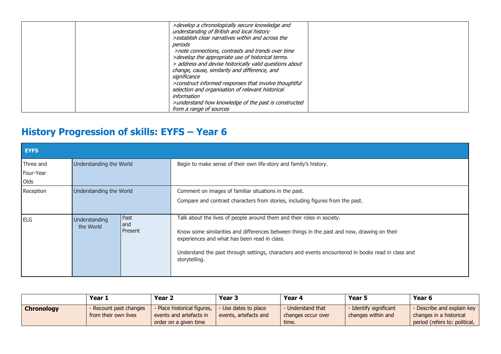| >develop a chronologically secure knowledge and<br>understanding of British and local history<br>>establish clear narratives within and across the<br>periods<br>>note connections, contrasts and trends over time<br>>develop the appropriate use of historical terms.<br>> address and devise historically valid questions about<br>change, cause, similarity and difference, and<br>significance<br>>construct informed responses that involve thoughtful<br>selection and organisation of relevant historical |  |
|-------------------------------------------------------------------------------------------------------------------------------------------------------------------------------------------------------------------------------------------------------------------------------------------------------------------------------------------------------------------------------------------------------------------------------------------------------------------------------------------------------------------|--|
| information                                                                                                                                                                                                                                                                                                                                                                                                                                                                                                       |  |
| >understand how knowledge of the past is constructed<br>from a range of sources                                                                                                                                                                                                                                                                                                                                                                                                                                   |  |

## **History Progression of skills: EYFS – Year 6**

| <b>EYFS</b>            |                                                      |  |                                                                                                                                                                                                                                                                                                                                              |  |  |
|------------------------|------------------------------------------------------|--|----------------------------------------------------------------------------------------------------------------------------------------------------------------------------------------------------------------------------------------------------------------------------------------------------------------------------------------------|--|--|
| Three and<br>Four-Year | Understanding the World                              |  | Begin to make sense of their own life-story and family's history.                                                                                                                                                                                                                                                                            |  |  |
| Olds                   |                                                      |  |                                                                                                                                                                                                                                                                                                                                              |  |  |
| Reception              | Understanding the World                              |  | Comment on images of familiar situations in the past.<br>Compare and contrast characters from stories, including figures from the past.                                                                                                                                                                                                      |  |  |
| <b>ELG</b>             | Past<br>Understanding<br>and<br>the World<br>Present |  | Talk about the lives of people around them and their roles in society.<br>Know some similarities and differences between things in the past and now, drawing on their<br>experiences and what has been read in class.<br>Understand the past through settings, characters and events encountered in books read in class and<br>storytelling. |  |  |

|                   | Year 1                                         | Year <sub>2</sub>                                                               | Year <sub>3</sub>                             | Year 4                                         | Year 5                                       | Year 6                                                                                 |
|-------------------|------------------------------------------------|---------------------------------------------------------------------------------|-----------------------------------------------|------------------------------------------------|----------------------------------------------|----------------------------------------------------------------------------------------|
| <b>Chronology</b> | - Recount past changes<br>from their own lives | - Place historical figures,<br>events and artefacts in<br>order on a given time | - Use dates to place<br>events, artefacts and | Understand that<br>changes occur over<br>time. | - Identify significant<br>changes within and | - Describe and explain key<br>changes in a historical<br>period (refers to: political, |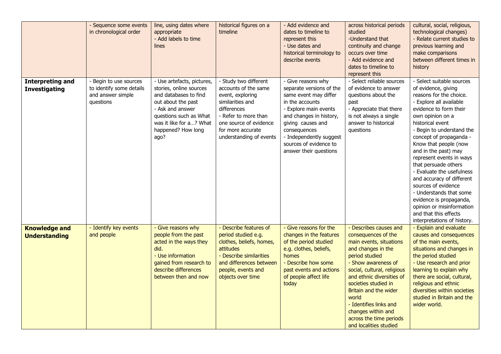|                                                 | - Sequence some events<br>in chronological order                                     | line, using dates where<br>appropriate<br>- Add labels to time<br>lines                                                                                                                                     | historical figures on a<br>timeline                                                                                                                                                                    | - Add evidence and<br>dates to timeline to<br>represent this<br>- Use dates and<br>historical terminology to<br>describe events                                                                                                                                    | across historical periods<br>studied<br>-Understand that<br>continuity and change<br>occurs over time<br>- Add evidence and<br>dates to timeline to<br>represent this                                                                                                                                                                                              | cultural, social, religious,<br>technological changes)<br>- Relate current studies to<br>previous learning and<br>make comparisons<br>between different times in<br>history                                                                                                                                                                                                                                                                                                                                                                                       |
|-------------------------------------------------|--------------------------------------------------------------------------------------|-------------------------------------------------------------------------------------------------------------------------------------------------------------------------------------------------------------|--------------------------------------------------------------------------------------------------------------------------------------------------------------------------------------------------------|--------------------------------------------------------------------------------------------------------------------------------------------------------------------------------------------------------------------------------------------------------------------|--------------------------------------------------------------------------------------------------------------------------------------------------------------------------------------------------------------------------------------------------------------------------------------------------------------------------------------------------------------------|-------------------------------------------------------------------------------------------------------------------------------------------------------------------------------------------------------------------------------------------------------------------------------------------------------------------------------------------------------------------------------------------------------------------------------------------------------------------------------------------------------------------------------------------------------------------|
| <b>Interpreting and</b><br><b>Investigating</b> | - Begin to use sources<br>to identify some details<br>and answer simple<br>questions | - Use artefacts, pictures,<br>stories, online sources<br>and databases to find<br>out about the past<br>- Ask and answer<br>questions such as What<br>was it like for a? What<br>happened? How long<br>ago? | - Study two different<br>accounts of the same<br>event, exploring<br>similarities and<br>differences<br>- Refer to more than<br>one source of evidence<br>for more accurate<br>understanding of events | - Give reasons why<br>separate versions of the<br>same event may differ<br>in the accounts<br>- Explore main events<br>and changes in history,<br>giving causes and<br>consequences<br>- Independently suggest<br>sources of evidence to<br>answer their questions | - Select reliable sources<br>of evidence to answer<br>questions about the<br>past<br>- Appreciate that there<br>is not always a single<br>answer to historical<br>questions                                                                                                                                                                                        | - Select suitable sources<br>of evidence, giving<br>reasons for the choice.<br>- Explore all available<br>evidence to form their<br>own opinion on a<br>historical event<br>- Begin to understand the<br>concept of propaganda -<br>Know that people (now<br>and in the past) may<br>represent events in ways<br>that persuade others<br>- Evaluate the usefulness<br>and accuracy of different<br>sources of evidence<br>- Understands that some<br>evidence is propaganda,<br>opinion or misinformation<br>and that this effects<br>interpretations of history. |
| <b>Knowledge and</b><br><b>Understanding</b>    | - Identify key events<br>and people                                                  | - Give reasons why<br>people from the past<br>acted in the ways they<br>did.<br>- Use information<br>gained from research to<br>describe differences<br>between then and now                                | - Describe features of<br>period studied e.g.<br>clothes, beliefs, homes,<br>attitudes<br>- Describe similarities<br>and differences between<br>people, events and<br>objects over time                | - Give reasons for the<br>changes in the features<br>of the period studied<br>e.g. clothes, beliefs,<br>homes<br>- Describe how some<br>past events and actions<br>of people affect life<br>today                                                                  | - Describes causes and<br>consequences of the<br>main events, situations<br>and changes in the<br>period studied<br>- Show awareness of<br>social, cultural, religious<br>and ethnic diversities of<br>societies studied in<br>Britain and the wider<br>world<br>- Identifies links and<br>changes within and<br>across the time periods<br>and localities studied | - Explain and evaluate<br>causes and consequences<br>of the main events,<br>situations and changes in<br>the period studied<br>- Use research and prior<br>learning to explain why<br>there are social, cultural,<br>religious and ethnic<br>diversities within societies<br>studied in Britain and the<br>wider world.                                                                                                                                                                                                                                           |